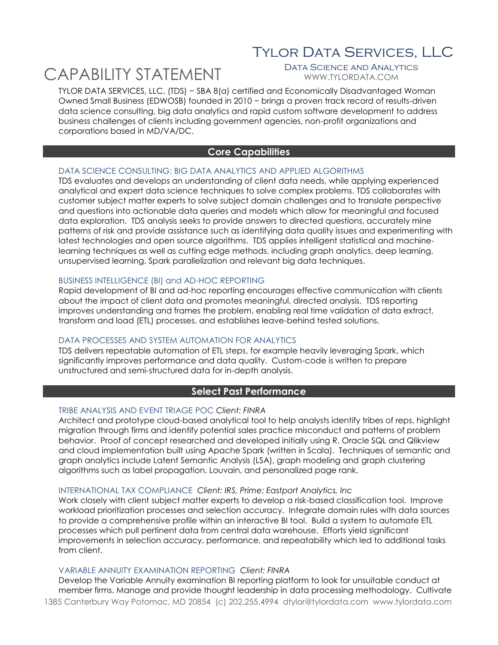# Tylor Data Services, LLC

# CAPABILITY STATEMENT

WWW.TYLORDATA.COM

TYLOR DATA SERVICES, LLC, (TDS) − SBA 8(a) certified and Economically Disadvantaged Woman Owned Small Business (EDWOSB) founded in 2010 − brings a proven track record of results-driven data science consulting, big data analytics and rapid custom software development to address business challenges of clients including government agencies, non-profit organizations and corporations based in MD/VA/DC.

# **Core Capabilities**

#### DATA SCIENCE CONSULTING: BIG DATA ANALYTICS AND APPLIED ALGORITHMS

TDS evaluates and develops an understanding of client data needs, while applying experienced analytical and expert data science techniques to solve complex problems. TDS collaborates with customer subject matter experts to solve subject domain challenges and to translate perspective and questions into actionable data queries and models which allow for meaningful and focused data exploration. TDS analysis seeks to provide answers to directed questions, accurately mine patterns of risk and provide assistance such as identifying data quality issues and experimenting with latest technologies and open source algorithms. TDS applies intelligent statistical and machinelearning techniques as well as cutting edge methods, including graph analytics, deep learning, unsupervised learning, Spark parallelization and relevant big data techniques.

#### BUSINESS INTELLIGENCE (BI) and AD-HOC REPORTING

Rapid development of BI and ad-hoc reporting encourages effective communication with clients about the impact of client data and promotes meaningful, directed analysis. TDS reporting improves understanding and frames the problem, enabling real time validation of data extract, transform and load (ETL) processes, and establishes leave-behind tested solutions.

#### DATA PROCESSES AND SYSTEM AUTOMATION FOR ANALYTICS

TDS delivers repeatable automation of ETL steps, for example heavily leveraging Spark, which significantly improves performance and data quality. Custom-code is written to prepare unstructured and semi-structured data for in-depth analysis.

# **Select Past Performance**

#### TRIBE ANALYSIS AND EVENT TRIAGE POC *Client: FINRA*

Architect and prototype cloud-based analytical tool to help analysts identify tribes of reps, highlight migration through firms and identify potential sales practice misconduct and patterns of problem behavior. Proof of concept researched and developed initially using R, Oracle SQL and Qlikview and cloud implementation built using Apache Spark (written in Scala). Techniques of semantic and graph analytics include Latent Semantic Analysis (LSA), graph modeling and graph clustering algorithms such as label propagation, Louvain, and personalized page rank.

#### INTERNATIONAL TAX COMPLIANCE *Client: IRS, Prime: Eastport Analytics, Inc*

Work closely with client subject matter experts to develop a risk-based classification tool. Improve workload prioritization processes and selection accuracy. Integrate domain rules with data sources to provide a comprehensive profile within an interactive BI tool. Build a system to automate ETL processes which pull pertinent data from central data warehouse. Efforts yield significant improvements in selection accuracy, performance, and repeatability which led to additional tasks from client.

#### VARIABLE ANNUITY EXAMINATION REPORTING *Client: FINRA*

1385 Canterbury Way Potomac, MD 20854 (c) 202.255.4994 dtylor@tylordata.com www.tylordata.com Develop the Variable Annuity examination BI reporting platform to look for unsuitable conduct at member firms. Manage and provide thought leadership in data processing methodology. Cultivate